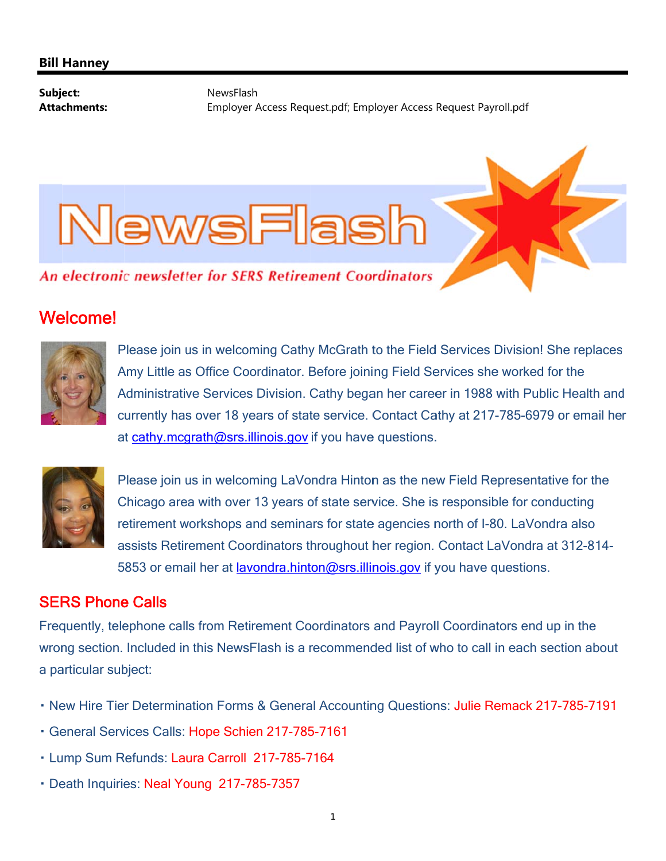#### **Bill Hanney**

Subject: **Attachments:** 

NewsFlash Employer Access Request.pdf; Employer Access Request Payroll.pdf

# VewsFlask

An electronic newsletter for SERS Retirement Coordinators

# **Welcome!**



Please join us in welcoming Cathy McGrath to the Field Services Division! She replaces Amy Little as Office Coordinator. Before joining Field Services she worked for the Administrative Services Division. Cathy began her career in 1988 with Public Health and currently has over 18 years of state service. Contact Cathy at 217-785-6979 or email her at cathy.mcgrath@srs.illinois.gov if you have questions.



Please join us in welcoming LaVondra Hinton as the new Field Representative for the Chicago area with over 13 years of state service. She is responsible for conducting retirement workshops and seminars for state agencies north of I-80. LaVondra also assists Retirement Coordinators throughout her region. Contact LaVondra at 312-814-5853 or email her at **lavondra.hinton@srs.illinois.gov** if you have questions.

### **SERS Phone Calls**

Frequently, telephone calls from Retirement Coordinators and Payroll Coordinators end up in the wrong section. Included in this NewsFlash is a recommended list of who to call in each section about a particular subject:

- . New Hire Tier Determination Forms & General Accounting Questions: Julie Remack 217-785-7191
- · General Services Calls: Hope Schien 217-785-7161
- · Lump Sum Refunds: Laura Carroll 217-785-7164
- · Death Inquiries: Neal Young 217-785-7357